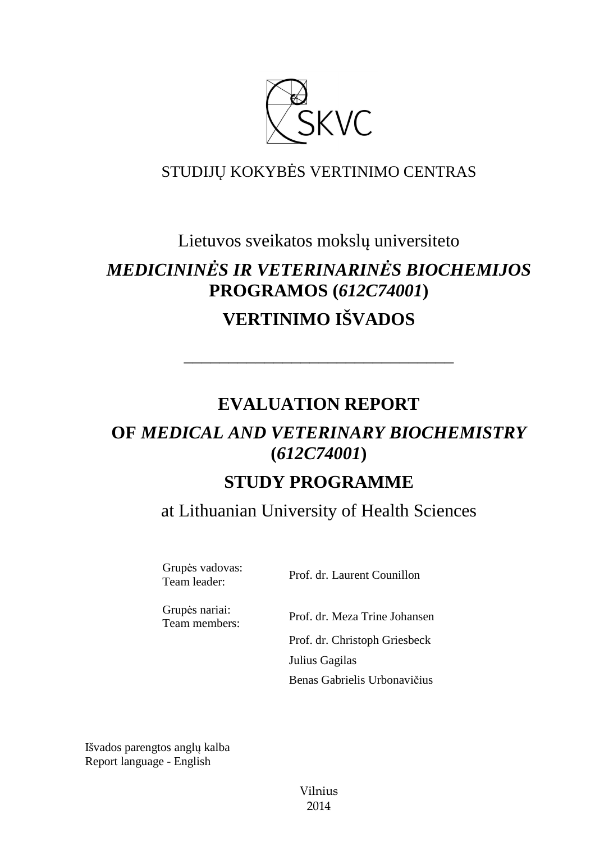

## STUDIJŲ KOKYBĖS VERTINIMO CENTRAS

# Lietuvos sveikatos mokslų universiteto *MEDICININĖS IR VETERINARINĖS BIOCHEMIJOS*  **PROGRAMOS (***612C74001***) VERTINIMO IŠVADOS**

## **EVALUATION REPORT**

––––––––––––––––––––––––––––––

## **OF** *MEDICAL AND VETERINARY BIOCHEMISTRY*  **(***612C74001***)**

## **STUDY PROGRAMME**

at Lithuanian University of Health Sciences

Grupės vadovas:

Team leader: Prof. dr. Laurent Counillon

Grupės nariai:

Team members: Prof. dr. Meza Trine Johansen Prof. dr. Christoph Griesbeck Julius Gagilas Benas Gabrielis Urbonavičius

Išvados parengtos anglų kalba Report language - English

> Vilnius 2014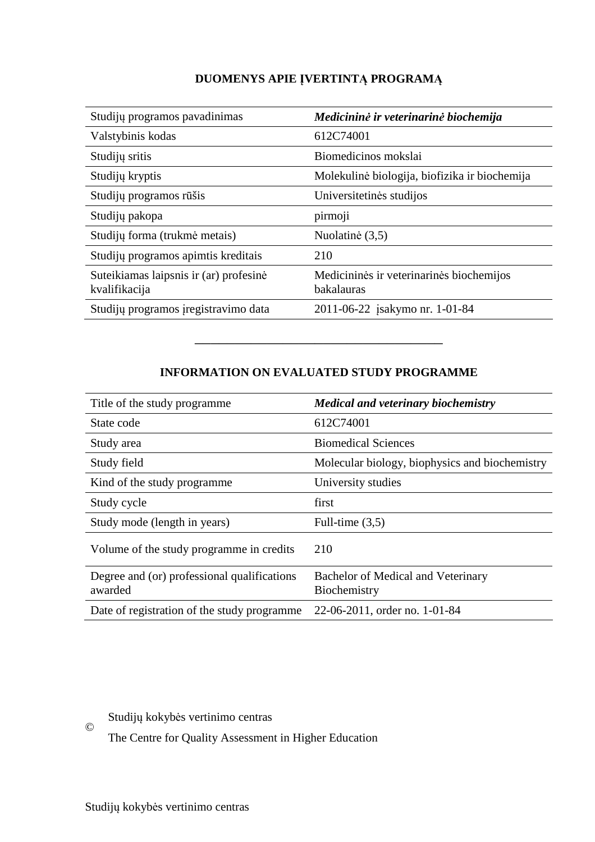## **DUOMENYS APIE ĮVERTINTĄ PROGRAMĄ**

| Studijų programos pavadinimas                           | Medicininė ir veterinarinė biochemija                  |
|---------------------------------------------------------|--------------------------------------------------------|
| Valstybinis kodas                                       | 612C74001                                              |
| Studijų sritis                                          | Biomedicinos mokslai                                   |
| Studijų kryptis                                         | Molekulinė biologija, biofizika ir biochemija          |
| Studijų programos rūšis                                 | Universitetinės studijos                               |
| Studijų pakopa                                          | pirmoji                                                |
| Studijų forma (trukmė metais)                           | Nuolatinė (3,5)                                        |
| Studijų programos apimtis kreditais                     | 210                                                    |
| Suteikiamas laipsnis ir (ar) profesinė<br>kvalifikacija | Medicininės ir veterinarinės biochemijos<br>bakalauras |
| Studijų programos įregistravimo data                    | 2011-06-22 jsakymo nr. 1-01-84                         |

## **INFORMATION ON EVALUATED STUDY PROGRAMME**

–––––––––––––––––––––––––––––––

| Title of the study programme                           | <b>Medical and veterinary biochemistry</b>         |
|--------------------------------------------------------|----------------------------------------------------|
| State code                                             | 612C74001                                          |
| Study area                                             | <b>Biomedical Sciences</b>                         |
| Study field                                            | Molecular biology, biophysics and biochemistry     |
| Kind of the study programme                            | University studies                                 |
| Study cycle                                            | first                                              |
| Study mode (length in years)                           | Full-time $(3,5)$                                  |
| Volume of the study programme in credits               | 210                                                |
| Degree and (or) professional qualifications<br>awarded | Bachelor of Medical and Veterinary<br>Biochemistry |
| Date of registration of the study programme            | 22-06-2011, order no. 1-01-84                      |

Studijų kokybės vertinimo centras ©

The Centre for Quality Assessment in Higher Education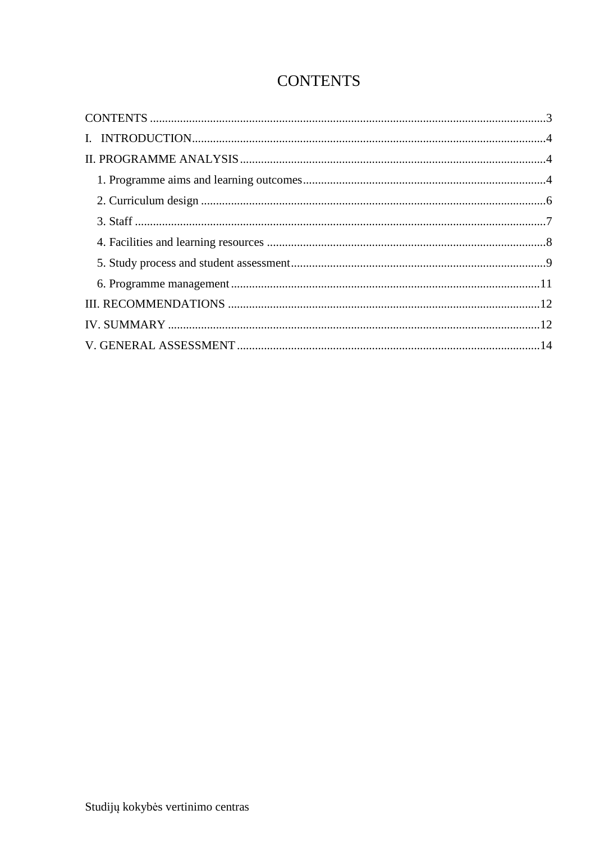## **CONTENTS**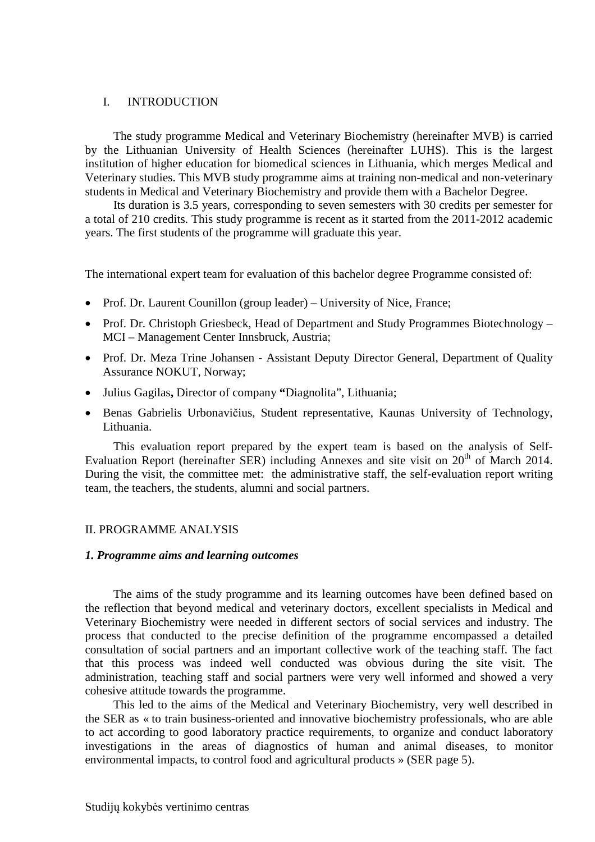#### I. INTRODUCTION

The study programme Medical and Veterinary Biochemistry (hereinafter MVB) is carried by the Lithuanian University of Health Sciences (hereinafter LUHS). This is the largest institution of higher education for biomedical sciences in Lithuania, which merges Medical and Veterinary studies. This MVB study programme aims at training non-medical and non-veterinary students in Medical and Veterinary Biochemistry and provide them with a Bachelor Degree.

Its duration is 3.5 years, corresponding to seven semesters with 30 credits per semester for a total of 210 credits. This study programme is recent as it started from the 2011-2012 academic years. The first students of the programme will graduate this year.

The international expert team for evaluation of this bachelor degree Programme consisted of:

- Prof. Dr. Laurent Counillon (group leader) University of Nice, France;
- Prof. Dr. Christoph Griesbeck, Head of Department and Study Programmes Biotechnology MCI – Management Center Innsbruck, Austria;
- Prof. Dr. Meza Trine Johansen Assistant Deputy Director General, Department of Quality Assurance NOKUT, Norway;
- Julius Gagilas**,** Director of company **"**Diagnolita", Lithuania;
- Benas Gabrielis Urbonavičius, Student representative, Kaunas University of Technology, Lithuania.

This evaluation report prepared by the expert team is based on the analysis of Self-Evaluation Report (hereinafter SER) including Annexes and site visit on 20<sup>th</sup> of March 2014. During the visit, the committee met: the administrative staff, the self-evaluation report writing team, the teachers, the students, alumni and social partners.

#### II. PROGRAMME ANALYSIS

#### *1. Programme aims and learning outcomes*

The aims of the study programme and its learning outcomes have been defined based on the reflection that beyond medical and veterinary doctors, excellent specialists in Medical and Veterinary Biochemistry were needed in different sectors of social services and industry. The process that conducted to the precise definition of the programme encompassed a detailed consultation of social partners and an important collective work of the teaching staff. The fact that this process was indeed well conducted was obvious during the site visit. The administration, teaching staff and social partners were very well informed and showed a very cohesive attitude towards the programme.

This led to the aims of the Medical and Veterinary Biochemistry, very well described in the SER as « to train business-oriented and innovative biochemistry professionals, who are able to act according to good laboratory practice requirements, to organize and conduct laboratory investigations in the areas of diagnostics of human and animal diseases, to monitor environmental impacts, to control food and agricultural products » (SER page 5).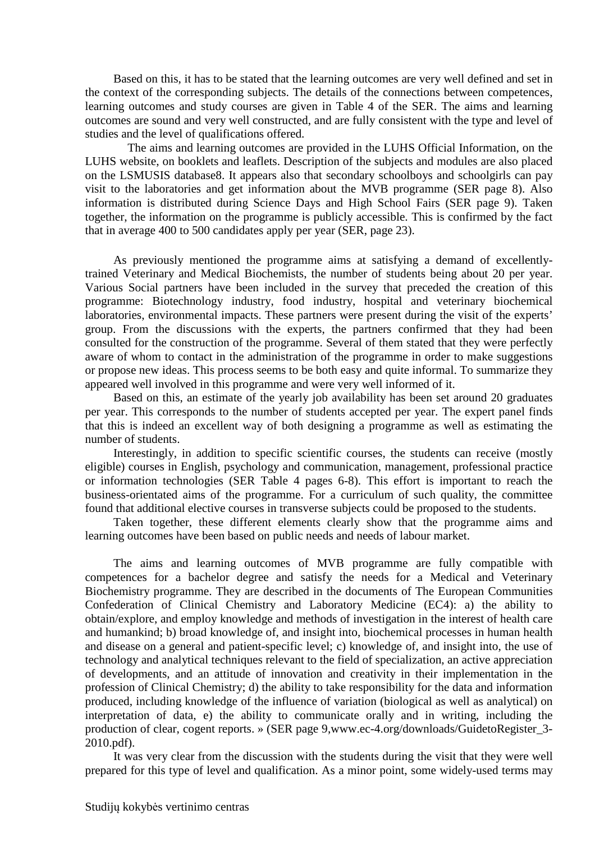Based on this, it has to be stated that the learning outcomes are very well defined and set in the context of the corresponding subjects. The details of the connections between competences, learning outcomes and study courses are given in Table 4 of the SER. The aims and learning outcomes are sound and very well constructed, and are fully consistent with the type and level of studies and the level of qualifications offered.

 The aims and learning outcomes are provided in the LUHS Official Information, on the LUHS website, on booklets and leaflets. Description of the subjects and modules are also placed on the LSMUSIS database8. It appears also that secondary schoolboys and schoolgirls can pay visit to the laboratories and get information about the MVB programme (SER page 8). Also information is distributed during Science Days and High School Fairs (SER page 9). Taken together, the information on the programme is publicly accessible. This is confirmed by the fact that in average 400 to 500 candidates apply per year (SER, page 23).

As previously mentioned the programme aims at satisfying a demand of excellentlytrained Veterinary and Medical Biochemists, the number of students being about 20 per year. Various Social partners have been included in the survey that preceded the creation of this programme: Biotechnology industry, food industry, hospital and veterinary biochemical laboratories, environmental impacts. These partners were present during the visit of the experts' group. From the discussions with the experts, the partners confirmed that they had been consulted for the construction of the programme. Several of them stated that they were perfectly aware of whom to contact in the administration of the programme in order to make suggestions or propose new ideas. This process seems to be both easy and quite informal. To summarize they appeared well involved in this programme and were very well informed of it.

Based on this, an estimate of the yearly job availability has been set around 20 graduates per year. This corresponds to the number of students accepted per year. The expert panel finds that this is indeed an excellent way of both designing a programme as well as estimating the number of students.

Interestingly, in addition to specific scientific courses, the students can receive (mostly eligible) courses in English, psychology and communication, management, professional practice or information technologies (SER Table 4 pages 6-8). This effort is important to reach the business-orientated aims of the programme. For a curriculum of such quality, the committee found that additional elective courses in transverse subjects could be proposed to the students.

Taken together, these different elements clearly show that the programme aims and learning outcomes have been based on public needs and needs of labour market.

The aims and learning outcomes of MVB programme are fully compatible with competences for a bachelor degree and satisfy the needs for a Medical and Veterinary Biochemistry programme. They are described in the documents of The European Communities Confederation of Clinical Chemistry and Laboratory Medicine (EC4): a) the ability to obtain/explore, and employ knowledge and methods of investigation in the interest of health care and humankind; b) broad knowledge of, and insight into, biochemical processes in human health and disease on a general and patient-specific level; c) knowledge of, and insight into, the use of technology and analytical techniques relevant to the field of specialization, an active appreciation of developments, and an attitude of innovation and creativity in their implementation in the profession of Clinical Chemistry; d) the ability to take responsibility for the data and information produced, including knowledge of the influence of variation (biological as well as analytical) on interpretation of data, e) the ability to communicate orally and in writing, including the production of clear, cogent reports. » (SER page 9,www.ec-4.org/downloads/GuidetoRegister\_3- 2010.pdf).

It was very clear from the discussion with the students during the visit that they were well prepared for this type of level and qualification. As a minor point, some widely-used terms may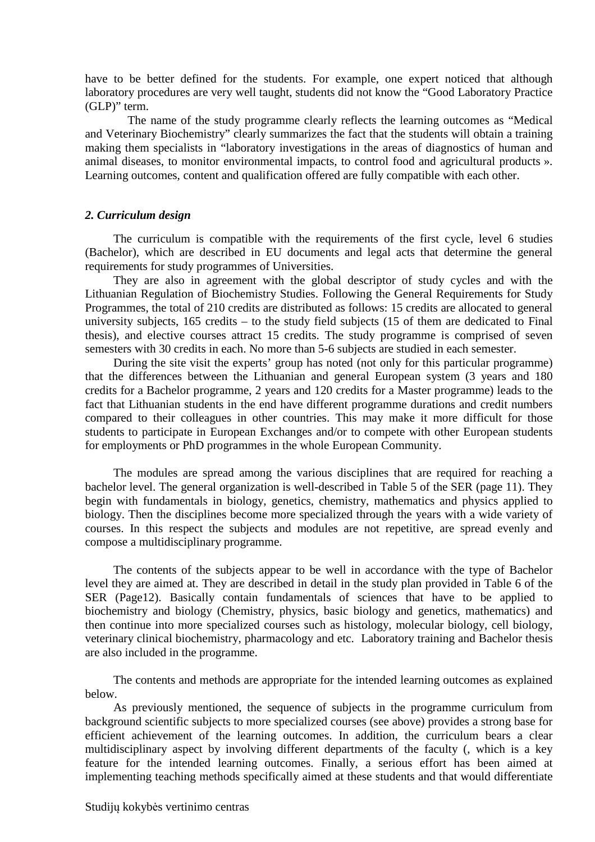have to be better defined for the students. For example, one expert noticed that although laboratory procedures are very well taught, students did not know the "Good Laboratory Practice (GLP)" term.

 The name of the study programme clearly reflects the learning outcomes as "Medical and Veterinary Biochemistry" clearly summarizes the fact that the students will obtain a training making them specialists in "laboratory investigations in the areas of diagnostics of human and animal diseases, to monitor environmental impacts, to control food and agricultural products ». Learning outcomes, content and qualification offered are fully compatible with each other.

#### *2. Curriculum design*

The curriculum is compatible with the requirements of the first cycle, level 6 studies (Bachelor), which are described in EU documents and legal acts that determine the general requirements for study programmes of Universities.

They are also in agreement with the global descriptor of study cycles and with the Lithuanian Regulation of Biochemistry Studies. Following the General Requirements for Study Programmes, the total of 210 credits are distributed as follows: 15 credits are allocated to general university subjects, 165 credits – to the study field subjects (15 of them are dedicated to Final thesis), and elective courses attract 15 credits. The study programme is comprised of seven semesters with 30 credits in each. No more than 5-6 subjects are studied in each semester.

During the site visit the experts' group has noted (not only for this particular programme) that the differences between the Lithuanian and general European system (3 years and 180 credits for a Bachelor programme, 2 years and 120 credits for a Master programme) leads to the fact that Lithuanian students in the end have different programme durations and credit numbers compared to their colleagues in other countries. This may make it more difficult for those students to participate in European Exchanges and/or to compete with other European students for employments or PhD programmes in the whole European Community.

The modules are spread among the various disciplines that are required for reaching a bachelor level. The general organization is well-described in Table 5 of the SER (page 11). They begin with fundamentals in biology, genetics, chemistry, mathematics and physics applied to biology. Then the disciplines become more specialized through the years with a wide variety of courses. In this respect the subjects and modules are not repetitive, are spread evenly and compose a multidisciplinary programme.

The contents of the subjects appear to be well in accordance with the type of Bachelor level they are aimed at. They are described in detail in the study plan provided in Table 6 of the SER (Page12). Basically contain fundamentals of sciences that have to be applied to biochemistry and biology (Chemistry, physics, basic biology and genetics, mathematics) and then continue into more specialized courses such as histology, molecular biology, cell biology, veterinary clinical biochemistry, pharmacology and etc. Laboratory training and Bachelor thesis are also included in the programme.

The contents and methods are appropriate for the intended learning outcomes as explained below.

As previously mentioned, the sequence of subjects in the programme curriculum from background scientific subjects to more specialized courses (see above) provides a strong base for efficient achievement of the learning outcomes. In addition, the curriculum bears a clear multidisciplinary aspect by involving different departments of the faculty (, which is a key feature for the intended learning outcomes. Finally, a serious effort has been aimed at implementing teaching methods specifically aimed at these students and that would differentiate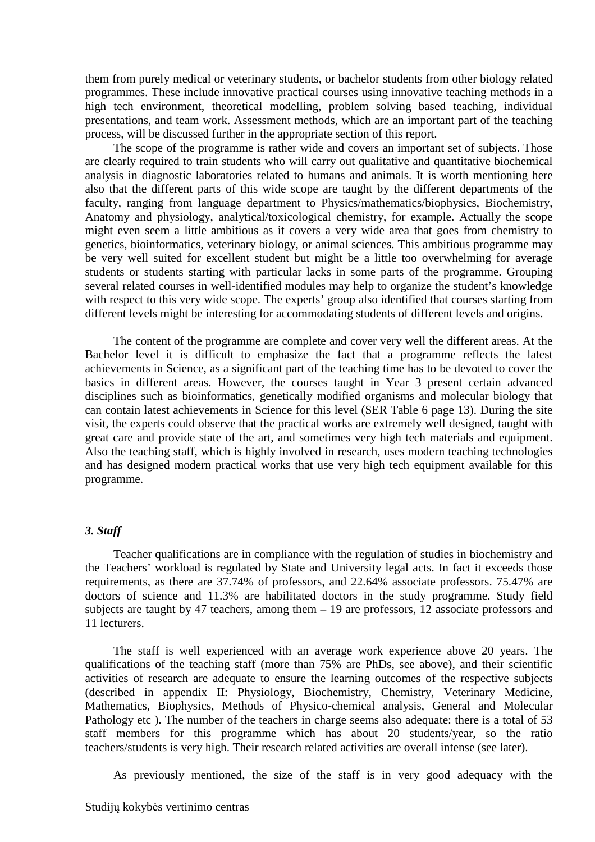them from purely medical or veterinary students, or bachelor students from other biology related programmes. These include innovative practical courses using innovative teaching methods in a high tech environment, theoretical modelling, problem solving based teaching, individual presentations, and team work. Assessment methods, which are an important part of the teaching process, will be discussed further in the appropriate section of this report.

The scope of the programme is rather wide and covers an important set of subjects. Those are clearly required to train students who will carry out qualitative and quantitative biochemical analysis in diagnostic laboratories related to humans and animals. It is worth mentioning here also that the different parts of this wide scope are taught by the different departments of the faculty, ranging from language department to Physics/mathematics/biophysics, Biochemistry, Anatomy and physiology, analytical/toxicological chemistry, for example. Actually the scope might even seem a little ambitious as it covers a very wide area that goes from chemistry to genetics, bioinformatics, veterinary biology, or animal sciences. This ambitious programme may be very well suited for excellent student but might be a little too overwhelming for average students or students starting with particular lacks in some parts of the programme. Grouping several related courses in well-identified modules may help to organize the student's knowledge with respect to this very wide scope. The experts' group also identified that courses starting from different levels might be interesting for accommodating students of different levels and origins.

The content of the programme are complete and cover very well the different areas. At the Bachelor level it is difficult to emphasize the fact that a programme reflects the latest achievements in Science, as a significant part of the teaching time has to be devoted to cover the basics in different areas. However, the courses taught in Year 3 present certain advanced disciplines such as bioinformatics, genetically modified organisms and molecular biology that can contain latest achievements in Science for this level (SER Table 6 page 13). During the site visit, the experts could observe that the practical works are extremely well designed, taught with great care and provide state of the art, and sometimes very high tech materials and equipment. Also the teaching staff, which is highly involved in research, uses modern teaching technologies and has designed modern practical works that use very high tech equipment available for this programme.

#### *3. Staff*

Teacher qualifications are in compliance with the regulation of studies in biochemistry and the Teachers' workload is regulated by State and University legal acts. In fact it exceeds those requirements, as there are 37.74% of professors, and 22.64% associate professors. 75.47% are doctors of science and 11.3% are habilitated doctors in the study programme. Study field subjects are taught by 47 teachers, among them – 19 are professors, 12 associate professors and 11 lecturers.

The staff is well experienced with an average work experience above 20 years. The qualifications of the teaching staff (more than 75% are PhDs, see above), and their scientific activities of research are adequate to ensure the learning outcomes of the respective subjects (described in appendix II: Physiology, Biochemistry, Chemistry, Veterinary Medicine, Mathematics, Biophysics, Methods of Physico-chemical analysis, General and Molecular Pathology etc ). The number of the teachers in charge seems also adequate: there is a total of 53 staff members for this programme which has about 20 students/year, so the ratio teachers/students is very high. Their research related activities are overall intense (see later).

As previously mentioned, the size of the staff is in very good adequacy with the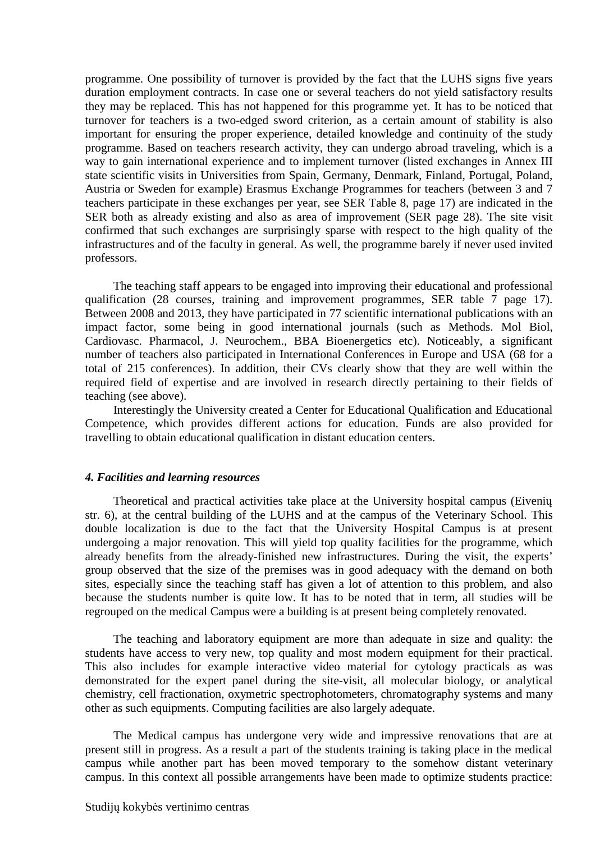programme. One possibility of turnover is provided by the fact that the LUHS signs five years duration employment contracts. In case one or several teachers do not yield satisfactory results they may be replaced. This has not happened for this programme yet. It has to be noticed that turnover for teachers is a two-edged sword criterion, as a certain amount of stability is also important for ensuring the proper experience, detailed knowledge and continuity of the study programme. Based on teachers research activity, they can undergo abroad traveling, which is a way to gain international experience and to implement turnover (listed exchanges in Annex III state scientific visits in Universities from Spain, Germany, Denmark, Finland, Portugal, Poland, Austria or Sweden for example) Erasmus Exchange Programmes for teachers (between 3 and 7 teachers participate in these exchanges per year, see SER Table 8, page 17) are indicated in the SER both as already existing and also as area of improvement (SER page 28). The site visit confirmed that such exchanges are surprisingly sparse with respect to the high quality of the infrastructures and of the faculty in general. As well, the programme barely if never used invited professors.

The teaching staff appears to be engaged into improving their educational and professional qualification (28 courses, training and improvement programmes, SER table 7 page 17). Between 2008 and 2013, they have participated in 77 scientific international publications with an impact factor, some being in good international journals (such as Methods. Mol Biol, Cardiovasc. Pharmacol, J. Neurochem., BBA Bioenergetics etc). Noticeably, a significant number of teachers also participated in International Conferences in Europe and USA (68 for a total of 215 conferences). In addition, their CVs clearly show that they are well within the required field of expertise and are involved in research directly pertaining to their fields of teaching (see above).

Interestingly the University created a Center for Educational Qualification and Educational Competence, which provides different actions for education. Funds are also provided for travelling to obtain educational qualification in distant education centers.

#### *4. Facilities and learning resources*

Theoretical and practical activities take place at the University hospital campus (Eivenių str. 6), at the central building of the LUHS and at the campus of the Veterinary School. This double localization is due to the fact that the University Hospital Campus is at present undergoing a major renovation. This will yield top quality facilities for the programme, which already benefits from the already-finished new infrastructures. During the visit, the experts' group observed that the size of the premises was in good adequacy with the demand on both sites, especially since the teaching staff has given a lot of attention to this problem, and also because the students number is quite low. It has to be noted that in term, all studies will be regrouped on the medical Campus were a building is at present being completely renovated.

The teaching and laboratory equipment are more than adequate in size and quality: the students have access to very new, top quality and most modern equipment for their practical. This also includes for example interactive video material for cytology practicals as was demonstrated for the expert panel during the site-visit, all molecular biology, or analytical chemistry, cell fractionation, oxymetric spectrophotometers, chromatography systems and many other as such equipments. Computing facilities are also largely adequate.

The Medical campus has undergone very wide and impressive renovations that are at present still in progress. As a result a part of the students training is taking place in the medical campus while another part has been moved temporary to the somehow distant veterinary campus. In this context all possible arrangements have been made to optimize students practice: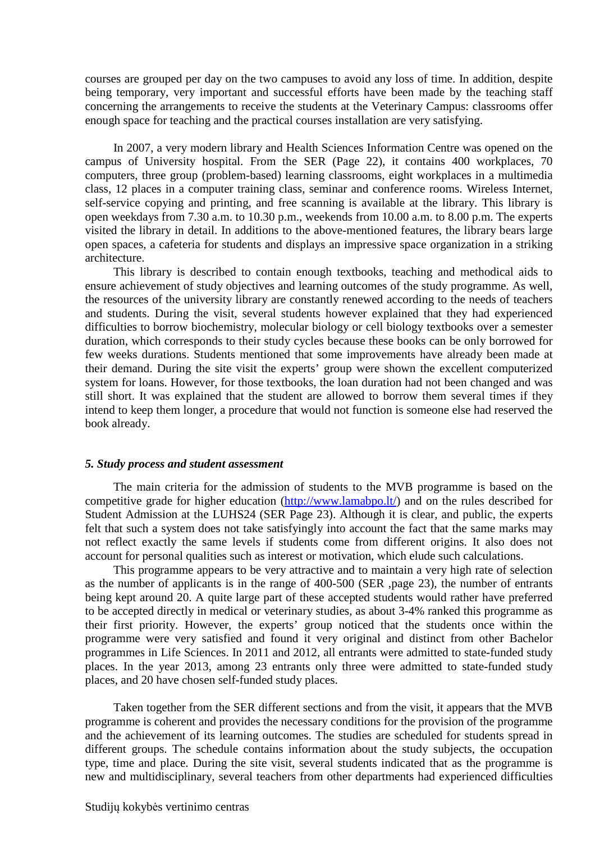courses are grouped per day on the two campuses to avoid any loss of time. In addition, despite being temporary, very important and successful efforts have been made by the teaching staff concerning the arrangements to receive the students at the Veterinary Campus: classrooms offer enough space for teaching and the practical courses installation are very satisfying.

In 2007, a very modern library and Health Sciences Information Centre was opened on the campus of University hospital. From the SER (Page 22), it contains 400 workplaces, 70 computers, three group (problem-based) learning classrooms, eight workplaces in a multimedia class, 12 places in a computer training class, seminar and conference rooms. Wireless Internet, self-service copying and printing, and free scanning is available at the library. This library is open weekdays from 7.30 a.m. to 10.30 p.m., weekends from 10.00 a.m. to 8.00 p.m. The experts visited the library in detail. In additions to the above-mentioned features, the library bears large open spaces, a cafeteria for students and displays an impressive space organization in a striking architecture.

This library is described to contain enough textbooks, teaching and methodical aids to ensure achievement of study objectives and learning outcomes of the study programme. As well, the resources of the university library are constantly renewed according to the needs of teachers and students. During the visit, several students however explained that they had experienced difficulties to borrow biochemistry, molecular biology or cell biology textbooks over a semester duration, which corresponds to their study cycles because these books can be only borrowed for few weeks durations. Students mentioned that some improvements have already been made at their demand. During the site visit the experts' group were shown the excellent computerized system for loans. However, for those textbooks, the loan duration had not been changed and was still short. It was explained that the student are allowed to borrow them several times if they intend to keep them longer, a procedure that would not function is someone else had reserved the book already.

#### *5. Study process and student assessment*

The main criteria for the admission of students to the MVB programme is based on the competitive grade for higher education (http://www.lamabpo.lt/) and on the rules described for Student Admission at the LUHS24 (SER Page 23). Although it is clear, and public, the experts felt that such a system does not take satisfyingly into account the fact that the same marks may not reflect exactly the same levels if students come from different origins. It also does not account for personal qualities such as interest or motivation, which elude such calculations.

This programme appears to be very attractive and to maintain a very high rate of selection as the number of applicants is in the range of 400-500 (SER ,page 23), the number of entrants being kept around 20. A quite large part of these accepted students would rather have preferred to be accepted directly in medical or veterinary studies, as about 3-4% ranked this programme as their first priority. However, the experts' group noticed that the students once within the programme were very satisfied and found it very original and distinct from other Bachelor programmes in Life Sciences. In 2011 and 2012, all entrants were admitted to state-funded study places. In the year 2013, among 23 entrants only three were admitted to state-funded study places, and 20 have chosen self-funded study places.

Taken together from the SER different sections and from the visit, it appears that the MVB programme is coherent and provides the necessary conditions for the provision of the programme and the achievement of its learning outcomes. The studies are scheduled for students spread in different groups. The schedule contains information about the study subjects, the occupation type, time and place. During the site visit, several students indicated that as the programme is new and multidisciplinary, several teachers from other departments had experienced difficulties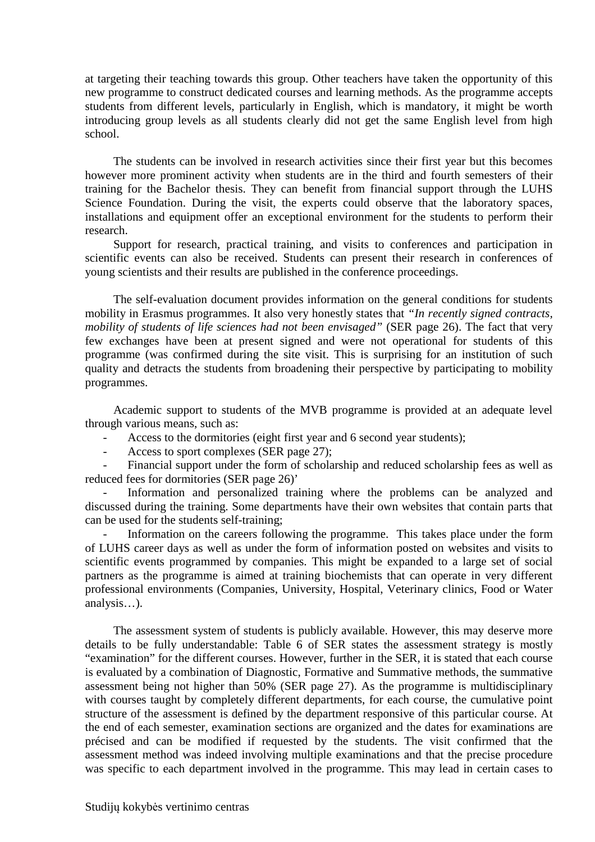at targeting their teaching towards this group. Other teachers have taken the opportunity of this new programme to construct dedicated courses and learning methods. As the programme accepts students from different levels, particularly in English, which is mandatory, it might be worth introducing group levels as all students clearly did not get the same English level from high school.

The students can be involved in research activities since their first year but this becomes however more prominent activity when students are in the third and fourth semesters of their training for the Bachelor thesis. They can benefit from financial support through the LUHS Science Foundation. During the visit, the experts could observe that the laboratory spaces, installations and equipment offer an exceptional environment for the students to perform their research.

Support for research, practical training, and visits to conferences and participation in scientific events can also be received. Students can present their research in conferences of young scientists and their results are published in the conference proceedings.

The self-evaluation document provides information on the general conditions for students mobility in Erasmus programmes. It also very honestly states that *"In recently signed contracts, mobility of students of life sciences had not been envisaged"* (SER page 26). The fact that very few exchanges have been at present signed and were not operational for students of this programme (was confirmed during the site visit. This is surprising for an institution of such quality and detracts the students from broadening their perspective by participating to mobility programmes.

Academic support to students of the MVB programme is provided at an adequate level through various means, such as:

- Access to the dormitories (eight first year and 6 second year students);
- Access to sport complexes (SER page 27);

Financial support under the form of scholarship and reduced scholarship fees as well as reduced fees for dormitories (SER page 26)'

Information and personalized training where the problems can be analyzed and discussed during the training. Some departments have their own websites that contain parts that can be used for the students self-training;

Information on the careers following the programme. This takes place under the form of LUHS career days as well as under the form of information posted on websites and visits to scientific events programmed by companies. This might be expanded to a large set of social partners as the programme is aimed at training biochemists that can operate in very different professional environments (Companies, University, Hospital, Veterinary clinics, Food or Water analysis…).

The assessment system of students is publicly available. However, this may deserve more details to be fully understandable: Table 6 of SER states the assessment strategy is mostly "examination" for the different courses. However, further in the SER, it is stated that each course is evaluated by a combination of Diagnostic, Formative and Summative methods, the summative assessment being not higher than 50% (SER page 27). As the programme is multidisciplinary with courses taught by completely different departments, for each course, the cumulative point structure of the assessment is defined by the department responsive of this particular course. At the end of each semester, examination sections are organized and the dates for examinations are précised and can be modified if requested by the students. The visit confirmed that the assessment method was indeed involving multiple examinations and that the precise procedure was specific to each department involved in the programme. This may lead in certain cases to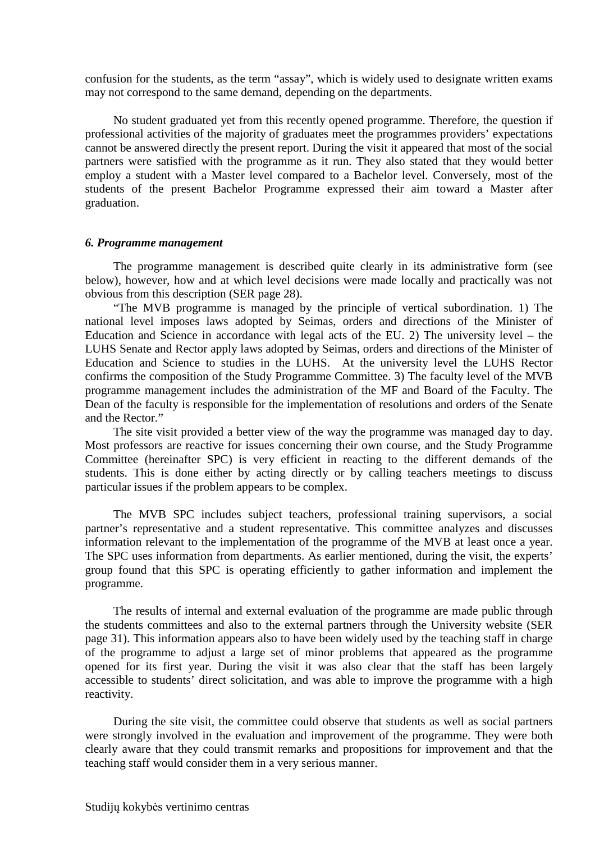confusion for the students, as the term "assay", which is widely used to designate written exams may not correspond to the same demand, depending on the departments.

No student graduated yet from this recently opened programme. Therefore, the question if professional activities of the majority of graduates meet the programmes providers' expectations cannot be answered directly the present report. During the visit it appeared that most of the social partners were satisfied with the programme as it run. They also stated that they would better employ a student with a Master level compared to a Bachelor level. Conversely, most of the students of the present Bachelor Programme expressed their aim toward a Master after graduation.

#### *6. Programme management*

The programme management is described quite clearly in its administrative form (see below), however, how and at which level decisions were made locally and practically was not obvious from this description (SER page 28).

"The MVB programme is managed by the principle of vertical subordination. 1) The national level imposes laws adopted by Seimas, orders and directions of the Minister of Education and Science in accordance with legal acts of the EU. 2) The university level – the LUHS Senate and Rector apply laws adopted by Seimas, orders and directions of the Minister of Education and Science to studies in the LUHS. At the university level the LUHS Rector confirms the composition of the Study Programme Committee. 3) The faculty level of the MVB programme management includes the administration of the MF and Board of the Faculty. The Dean of the faculty is responsible for the implementation of resolutions and orders of the Senate and the Rector."

The site visit provided a better view of the way the programme was managed day to day. Most professors are reactive for issues concerning their own course, and the Study Programme Committee (hereinafter SPC) is very efficient in reacting to the different demands of the students. This is done either by acting directly or by calling teachers meetings to discuss particular issues if the problem appears to be complex.

The MVB SPC includes subject teachers, professional training supervisors, a social partner's representative and a student representative. This committee analyzes and discusses information relevant to the implementation of the programme of the MVB at least once a year. The SPC uses information from departments. As earlier mentioned, during the visit, the experts' group found that this SPC is operating efficiently to gather information and implement the programme.

The results of internal and external evaluation of the programme are made public through the students committees and also to the external partners through the University website (SER page 31). This information appears also to have been widely used by the teaching staff in charge of the programme to adjust a large set of minor problems that appeared as the programme opened for its first year. During the visit it was also clear that the staff has been largely accessible to students' direct solicitation, and was able to improve the programme with a high reactivity.

During the site visit, the committee could observe that students as well as social partners were strongly involved in the evaluation and improvement of the programme. They were both clearly aware that they could transmit remarks and propositions for improvement and that the teaching staff would consider them in a very serious manner.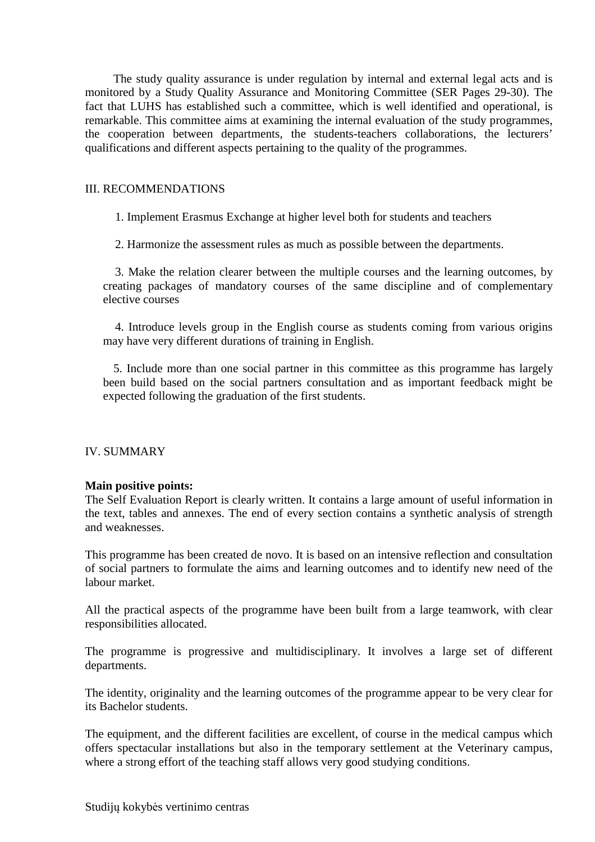The study quality assurance is under regulation by internal and external legal acts and is monitored by a Study Quality Assurance and Monitoring Committee (SER Pages 29-30). The fact that LUHS has established such a committee, which is well identified and operational, is remarkable. This committee aims at examining the internal evaluation of the study programmes, the cooperation between departments, the students-teachers collaborations, the lecturers' qualifications and different aspects pertaining to the quality of the programmes.

#### III. RECOMMENDATIONS

1. Implement Erasmus Exchange at higher level both for students and teachers

2. Harmonize the assessment rules as much as possible between the departments.

 3. Make the relation clearer between the multiple courses and the learning outcomes, by creating packages of mandatory courses of the same discipline and of complementary elective courses

 4. Introduce levels group in the English course as students coming from various origins may have very different durations of training in English.

5. Include more than one social partner in this committee as this programme has largely been build based on the social partners consultation and as important feedback might be expected following the graduation of the first students.

### IV. SUMMARY

### **Main positive points:**

The Self Evaluation Report is clearly written. It contains a large amount of useful information in the text, tables and annexes. The end of every section contains a synthetic analysis of strength and weaknesses.

This programme has been created de novo. It is based on an intensive reflection and consultation of social partners to formulate the aims and learning outcomes and to identify new need of the labour market.

All the practical aspects of the programme have been built from a large teamwork, with clear responsibilities allocated.

The programme is progressive and multidisciplinary. It involves a large set of different departments.

The identity, originality and the learning outcomes of the programme appear to be very clear for its Bachelor students.

The equipment, and the different facilities are excellent, of course in the medical campus which offers spectacular installations but also in the temporary settlement at the Veterinary campus, where a strong effort of the teaching staff allows very good studying conditions.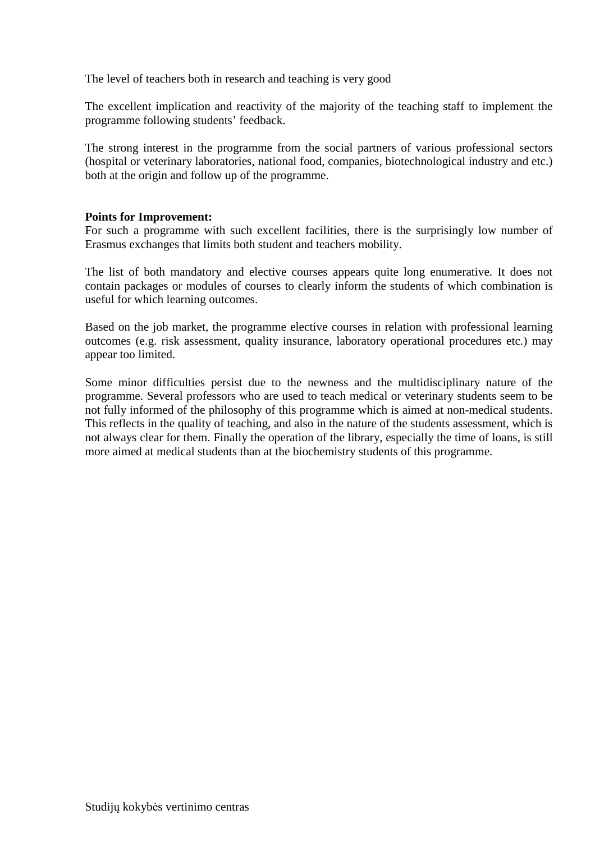The level of teachers both in research and teaching is very good

The excellent implication and reactivity of the majority of the teaching staff to implement the programme following students' feedback.

The strong interest in the programme from the social partners of various professional sectors (hospital or veterinary laboratories, national food, companies, biotechnological industry and etc.) both at the origin and follow up of the programme.

## **Points for Improvement:**

For such a programme with such excellent facilities, there is the surprisingly low number of Erasmus exchanges that limits both student and teachers mobility.

The list of both mandatory and elective courses appears quite long enumerative. It does not contain packages or modules of courses to clearly inform the students of which combination is useful for which learning outcomes.

Based on the job market, the programme elective courses in relation with professional learning outcomes (e.g. risk assessment, quality insurance, laboratory operational procedures etc.) may appear too limited.

Some minor difficulties persist due to the newness and the multidisciplinary nature of the programme. Several professors who are used to teach medical or veterinary students seem to be not fully informed of the philosophy of this programme which is aimed at non-medical students. This reflects in the quality of teaching, and also in the nature of the students assessment, which is not always clear for them. Finally the operation of the library, especially the time of loans, is still more aimed at medical students than at the biochemistry students of this programme.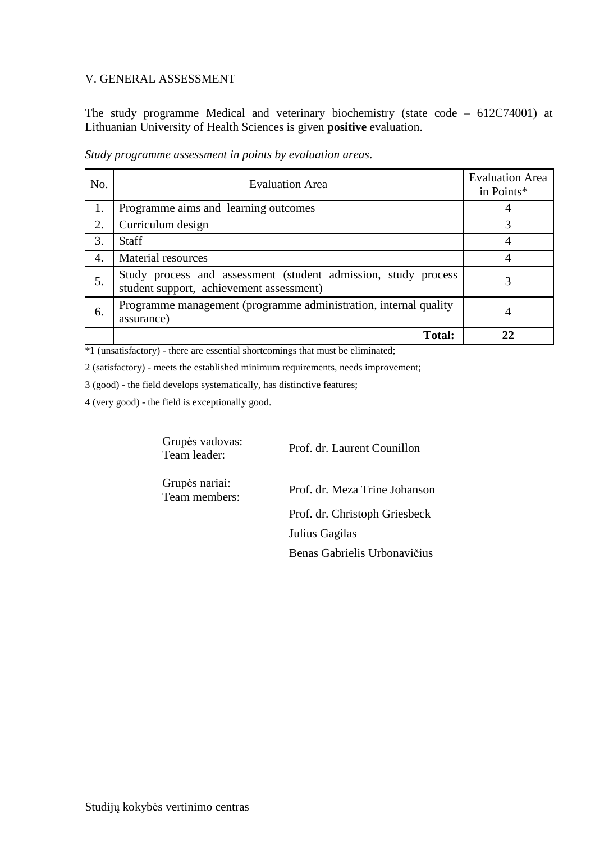### V. GENERAL ASSESSMENT

The study programme Medical and veterinary biochemistry (state code – 612C74001) at Lithuanian University of Health Sciences is given **positive** evaluation.

| No. | <b>Evaluation Area</b>                                                                                     | <b>Evaluation Area</b><br>in Points* |
|-----|------------------------------------------------------------------------------------------------------------|--------------------------------------|
| 1.  | Programme aims and learning outcomes                                                                       |                                      |
| 2.  | Curriculum design                                                                                          | 3                                    |
| 3.  | <b>Staff</b>                                                                                               |                                      |
| 4.  | Material resources                                                                                         |                                      |
| 5.  | Study process and assessment (student admission, study process<br>student support, achievement assessment) |                                      |
| 6.  | Programme management (programme administration, internal quality<br>assurance)                             | 4                                    |
|     | <b>Total:</b>                                                                                              |                                      |

*Study programme assessment in points by evaluation areas*.

\*1 (unsatisfactory) - there are essential shortcomings that must be eliminated;

2 (satisfactory) - meets the established minimum requirements, needs improvement;

3 (good) - the field develops systematically, has distinctive features;

4 (very good) - the field is exceptionally good.

Grupės vadovas:<br>Team leader:

Prof. dr. Laurent Counillon

Grupės nariai:

Prof. dr. Meza Trine Johanson Prof. dr. Christoph Griesbeck Julius Gagilas Benas Gabrielis Urbonavičius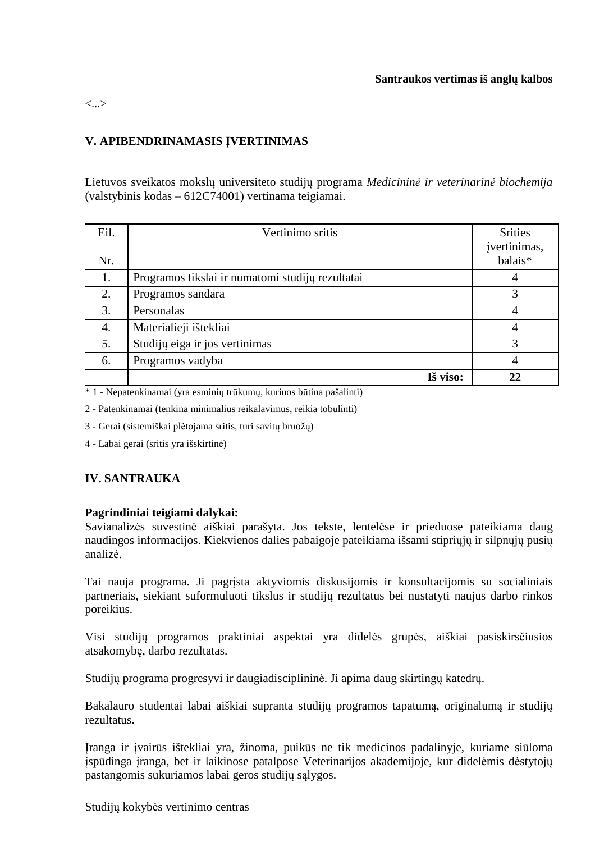#### <...>

## **V. APIBENDRINAMASIS ĮVERTINIMAS**

Lietuvos sveikatos mokslų universiteto studijų programa *Medicininė ir veterinarinė biochemija*  (valstybinis kodas – 612C74001) vertinama teigiamai.

| Eil.<br>Nr. | Vertinimo sritis                                 | <b>Srities</b><br>įvertinimas,<br>balais* |
|-------------|--------------------------------------------------|-------------------------------------------|
| 1.          | Programos tikslai ir numatomi studijų rezultatai | 4                                         |
| 2.          | Programos sandara                                | 3                                         |
| 3.          | Personalas                                       | 4                                         |
| 4.          | Materialieji ištekliai                           | 4                                         |
| 5.          | Studijų eiga ir jos vertinimas                   | 3                                         |
| 6.          | Programos vadyba                                 | 4                                         |
|             | Iš viso:                                         | 22                                        |

\* 1 - Nepatenkinamai (yra esminių trūkumų, kuriuos būtina pašalinti)

2 - Patenkinamai (tenkina minimalius reikalavimus, reikia tobulinti)

3 - Gerai (sistemiškai plėtojama sritis, turi savitų bruožų)

4 - Labai gerai (sritis yra išskirtinė)

## **IV. SANTRAUKA**

### **Pagrindiniai teigiami dalykai:**

Savianalizės suvestinė aiškiai parašyta. Jos tekste, lentelėse ir prieduose pateikiama daug naudingos informacijos. Kiekvienos dalies pabaigoje pateikiama išsami stipriųjų ir silpnųjų pusių analizė.

Tai nauja programa. Ji pagrįsta aktyviomis diskusijomis ir konsultacijomis su socialiniais partneriais, siekiant suformuluoti tikslus ir studijų rezultatus bei nustatyti naujus darbo rinkos poreikius.

Visi studijų programos praktiniai aspektai yra didelės grupės, aiškiai pasiskirsčiusios atsakomybę, darbo rezultatas.

Studijų programa progresyvi ir daugiadisciplininė. Ji apima daug skirtingų katedrų.

Bakalauro studentai labai aiškiai supranta studijų programos tapatumą, originalumą ir studijų rezultatus.

Įranga ir įvairūs ištekliai yra, žinoma, puikūs ne tik medicinos padalinyje, kuriame siūloma įspūdinga įranga, bet ir laikinose patalpose Veterinarijos akademijoje, kur didelėmis dėstytojų pastangomis sukuriamos labai geros studijų sąlygos.